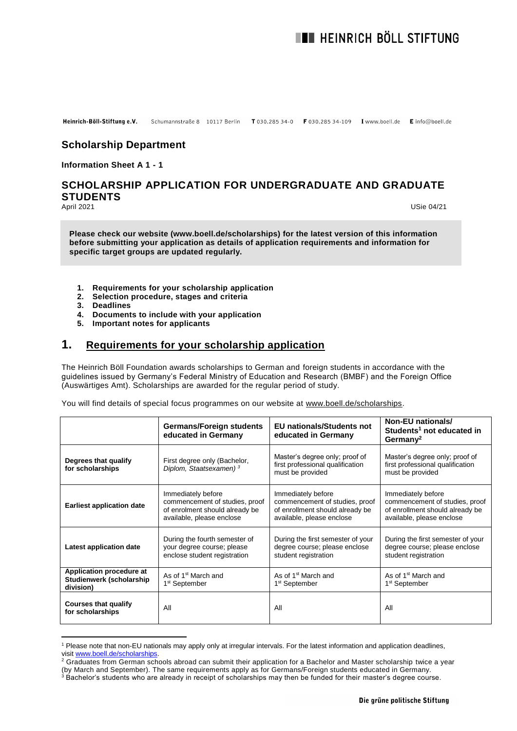#### Heinrich-Böll-Stiftung e.V. Schumannstraße 8 10117 Berlin T 030.285 34-0 F 030.285 34-109 I www.boell.de E info@boell.de

# **Scholarship Department**

**Information Sheet A 1 - 1**

# **SCHOLARSHIP APPLICATION FOR UNDERGRADUATE AND GRADUATE STUDENTS**<br>April 2021

 $\overline{a}$ 

April 2021 USie 04/21

**Please check our website (www.boell.de/scholarships) for the latest version of this information before submitting your application as details of application requirements and information for specific target groups are updated regularly.**

- **1. Requirements for your scholarship application**
- **2. Selection procedure, stages and criteria**
- **3. Deadlines**
- **4. Documents to include with your application**
- **5. Important notes for applicants**

# **1. Requirements for your scholarship application**

The Heinrich Böll Foundation awards scholarships to German and foreign students in accordance with the guidelines issued by Germany's Federal Ministry of Education and Research (BMBF) and the Foreign Office (Auswärtiges Amt). Scholarships are awarded for the regular period of study.

You will find details of special focus programmes on our website at [www.boell.de/scholarships.](http://www.boell.de/scholarships)

|                                                                   | <b>Germans/Foreign students</b><br>educated in Germany                                                              | <b>EU</b> nationals/Students not<br>educated in Germany                                                              | Non-EU nationals/<br>Students <sup>1</sup> not educated in<br>Germany <sup>2</sup>                                   |
|-------------------------------------------------------------------|---------------------------------------------------------------------------------------------------------------------|----------------------------------------------------------------------------------------------------------------------|----------------------------------------------------------------------------------------------------------------------|
| Degrees that qualify<br>for scholarships                          | First degree only (Bachelor,<br>Diplom, Staatsexamen) <sup>3</sup>                                                  | Master's degree only; proof of<br>first professional qualification<br>must be provided                               | Master's degree only; proof of<br>first professional qualification<br>must be provided                               |
| <b>Earliest application date</b>                                  | Immediately before<br>commencement of studies, proof<br>of enrolment should already be<br>available, please enclose | Immediately before<br>commencement of studies, proof<br>of enrollment should already be<br>available, please enclose | Immediately before<br>commencement of studies, proof<br>of enrollment should already be<br>available, please enclose |
| Latest application date                                           | During the fourth semester of<br>your degree course; please<br>enclose student registration                         | During the first semester of your<br>degree course; please enclose<br>student registration                           | During the first semester of your<br>degree course; please enclose<br>student registration                           |
| Application procedure at<br>Studienwerk (scholarship<br>division) | As of 1 <sup>st</sup> March and<br>1 <sup>st</sup> September                                                        | As of 1 <sup>st</sup> March and<br>1 <sup>st</sup> September                                                         | As of 1 <sup>st</sup> March and<br>1 <sup>st</sup> September                                                         |
| <b>Courses that qualify</b><br>for scholarships                   | All                                                                                                                 | All                                                                                                                  | All                                                                                                                  |

<sup>&</sup>lt;sup>1</sup> Please note that non-EU nationals may apply only at irregular intervals. For the latest information and application deadlines, visit [www.boell.de/scholarships.](http://www.boell.de/scholarships)

<sup>&</sup>lt;sup>2</sup> Graduates from German schools abroad can submit their application for a Bachelor and Master scholarship twice a year (by March and September). The same requirements apply as for Germans/Foreign students educated in Germany.

 $^3$  Bachelor's students who are already in receipt of scholarships may then be funded for their master's degree course.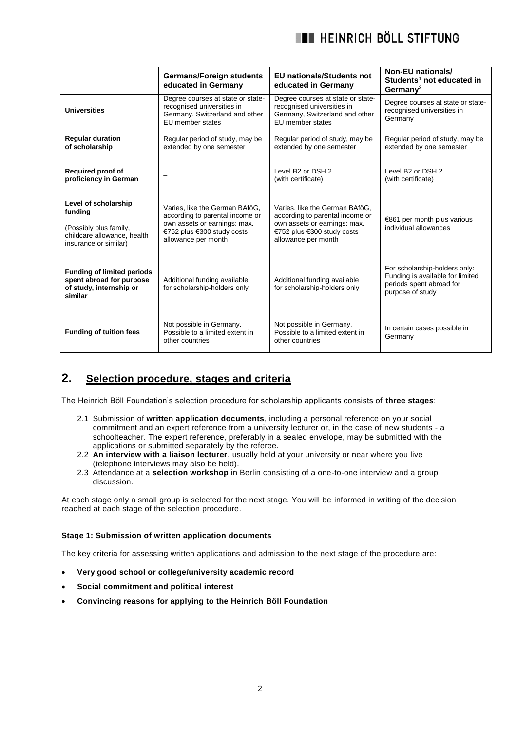# **THE HEINRICH BÖLL STIFTUNG**

|                                                                                                                   | <b>Germans/Foreign students</b><br>educated in Germany                                                                                                 | <b>EU</b> nationals/Students not<br>educated in Germany                                                                                                | Non-EU nationals/<br>Students <sup>1</sup> not educated in<br>Germany <sup>2</sup>                                |
|-------------------------------------------------------------------------------------------------------------------|--------------------------------------------------------------------------------------------------------------------------------------------------------|--------------------------------------------------------------------------------------------------------------------------------------------------------|-------------------------------------------------------------------------------------------------------------------|
| <b>Universities</b>                                                                                               | Degree courses at state or state-<br>recognised universities in<br>Germany, Switzerland and other<br>EU member states                                  | Degree courses at state or state-<br>recognised universities in<br>Germany, Switzerland and other<br>EU member states                                  | Degree courses at state or state-<br>recognised universities in<br>Germany                                        |
| <b>Regular duration</b><br>of scholarship                                                                         | Regular period of study, may be<br>extended by one semester                                                                                            | Regular period of study, may be<br>extended by one semester                                                                                            | Regular period of study, may be<br>extended by one semester                                                       |
| <b>Required proof of</b><br>proficiency in German                                                                 |                                                                                                                                                        | Level B2 or DSH 2<br>(with certificate)                                                                                                                | Level B2 or DSH 2<br>(with certificate)                                                                           |
| Level of scholarship<br>funding<br>(Possibly plus family,<br>childcare allowance, health<br>insurance or similar) | Varies, like the German BAföG,<br>according to parental income or<br>own assets or earnings: max.<br>€752 plus €300 study costs<br>allowance per month | Varies, like the German BAföG,<br>according to parental income or<br>own assets or earnings: max.<br>€752 plus €300 study costs<br>allowance per month | €861 per month plus various<br>individual allowances                                                              |
| <b>Funding of limited periods</b><br>spent abroad for purpose<br>of study, internship or<br>similar               | Additional funding available<br>for scholarship-holders only                                                                                           | Additional funding available<br>for scholarship-holders only                                                                                           | For scholarship-holders only:<br>Funding is available for limited<br>periods spent abroad for<br>purpose of study |
| <b>Funding of tuition fees</b>                                                                                    | Not possible in Germany.<br>Possible to a limited extent in<br>other countries                                                                         | Not possible in Germany.<br>Possible to a limited extent in<br>other countries                                                                         | In certain cases possible in<br>Germany                                                                           |

# **2. Selection procedure, stages and criteria**

The Heinrich Böll Foundation's selection procedure for scholarship applicants consists of **three stages**:

- 2.1 Submission of **written application documents**, including a personal reference on your social commitment and an expert reference from a university lecturer or, in the case of new students - a schoolteacher. The expert reference, preferably in a sealed envelope, may be submitted with the applications or submitted separately by the referee.
- 2.2 **An interview with a liaison lecturer**, usually held at your university or near where you live (telephone interviews may also be held).
- 2.3 Attendance at a **selection workshop** in Berlin consisting of a one-to-one interview and a group discussion.

At each stage only a small group is selected for the next stage. You will be informed in writing of the decision reached at each stage of the selection procedure.

#### **Stage 1: Submission of written application documents**

The key criteria for assessing written applications and admission to the next stage of the procedure are:

- **Very good school or college/university academic record**
- **Social commitment and political interest**
- **Convincing reasons for applying to the Heinrich Böll Foundation**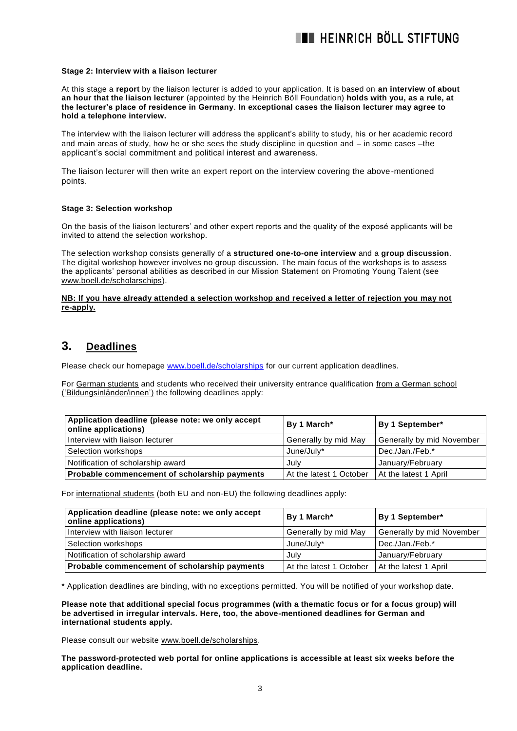#### **Stage 2: Interview with a liaison lecturer**

At this stage a **report** by the liaison lecturer is added to your application. It is based on **an interview of about an hour that the liaison lecturer** (appointed by the Heinrich Böll Foundation) **holds with you, as a rule, at the lecturer's place of residence in Germany**. **In exceptional cases the liaison lecturer may agree to hold a telephone interview.** 

The interview with the liaison lecturer will address the applicant's ability to study, his or her academic record and main areas of study, how he or she sees the study discipline in question and – in some cases –the applicant's social commitment and political interest and awareness.

The liaison lecturer will then write an expert report on the interview covering the above-mentioned points.

#### **Stage 3: Selection workshop**

On the basis of the liaison lecturers' and other expert reports and the quality of the exposé applicants will be invited to attend the selection workshop.

The selection workshop consists generally of a **structured one-to-one interview** and a **group discussion**. The digital workshop however involves no group discussion. The main focus of the workshops is to assess the applicants' personal abilities as described in our Mission Statement on Promoting Young Talent (see [www.boell.de/scholarschips\)](http://www.boell.de/scholarschips).

#### **NB: If you have already attended a selection workshop and received a letter of rejection you may not re-apply.**

### **3. Deadlines**

Please check our homepage [www.boell.de/scholarships](http://www.boell.de/scholarships) for our current application deadlines.

For German students and students who received their university entrance qualification from a German school ('Bildungsinländer/innen') the following deadlines apply:

| Application deadline (please note: we only accept<br>online applications) | By 1 March*             | By 1 September*           |
|---------------------------------------------------------------------------|-------------------------|---------------------------|
| Interview with liaison lecturer                                           | Generally by mid May    | Generally by mid November |
| Selection workshops                                                       | June/July*              | Dec./Jan./Feb.*           |
| Notification of scholarship award                                         | July                    | January/February          |
| Probable commencement of scholarship payments                             | At the latest 1 October | At the latest 1 April     |

For international students (both EU and non-EU) the following deadlines apply:

| Application deadline (please note: we only accept<br>online applications) | By 1 March*             | By 1 September*                  |
|---------------------------------------------------------------------------|-------------------------|----------------------------------|
| Interview with liaison lecturer                                           | Generally by mid May    | <b>Generally by mid November</b> |
| Selection workshops                                                       | June/July*              | Dec./Jan./Feb.*                  |
| Notification of scholarship award                                         | July                    | January/February                 |
| Probable commencement of scholarship payments                             | At the latest 1 October | At the latest 1 April            |

\* Application deadlines are binding, with no exceptions permitted. You will be notified of your workshop date.

**Please note that additional special focus programmes (with a thematic focus or for a focus group) will be advertised in irregular intervals. Here, too, the above-mentioned deadlines for German and international students apply.**

Please consult our website [www.boell.de/scholarships.](http://www.boell.de/scholarships)

**The password-protected web portal for online applications is accessible at least six weeks before the application deadline.**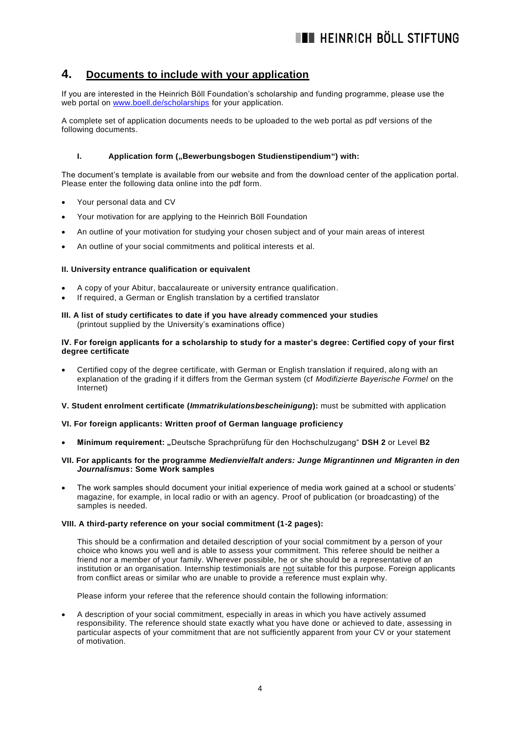# **4. Documents to include with your application**

If you are interested in the Heinrich Böll Foundation's scholarship and funding programme, please use the web portal on [www.boell.de/scholarships](http://www.boell.de/scholarships) for your application.

A complete set of application documents needs to be uploaded to the web portal as pdf versions of the following documents.

### **I. Application form ("Bewerbungsbogen Studienstipendium") with:**

The document's template is available from our website and from the download center of the application portal. Please enter the following data online into the pdf form.

- Your personal data and CV
- Your motivation for are applying to the Heinrich Böll Foundation
- An outline of your motivation for studying your chosen subject and of your main areas of interest
- An outline of your social commitments and political interests et al.

#### **II. University entrance qualification or equivalent**

- A copy of your Abitur, baccalaureate or university entrance qualification.
- If required, a German or English translation by a certified translator
- **III. A list of study certificates to date if you have already commenced your studies**  (printout supplied by the University's examinations office)

#### **IV. For foreign applicants for a scholarship to study for a master's degree: Certified copy of your first degree certificate**

 Certified copy of the degree certificate, with German or English translation if required, along with an explanation of the grading if it differs from the German system (cf *Modifizierte Bayerische Formel* on the Internet)

#### **V. Student enrolment certificate (***Immatrikulationsbescheinigung***):** must be submitted with application

#### **VI. For foreign applicants: Written proof of German language proficiency**

**Minimum requirement: "**Deutsche Sprachprüfung für den Hochschulzugang" **DSH 2** or Level **B2**

#### **VII. For applicants for the programme** *Medienvielfalt anders: Junge Migrantinnen und Migranten in den Journalismus***: Some Work samples**

 The work samples should document your initial experience of media work gained at a school or students' magazine, for example, in local radio or with an agency. Proof of publication (or broadcasting) of the samples is needed.

#### **VIII. A third-party reference on your social commitment (1-2 pages):**

This should be a confirmation and detailed description of your social commitment by a person of your choice who knows you well and is able to assess your commitment. This referee should be neither a friend nor a member of your family. Wherever possible, he or she should be a representative of an institution or an organisation. Internship testimonials are not suitable for this purpose. Foreign applicants from conflict areas or similar who are unable to provide a reference must explain why.

Please inform your referee that the reference should contain the following information:

 A description of your social commitment, especially in areas in which you have actively assumed responsibility. The reference should state exactly what you have done or achieved to date, assessing in particular aspects of your commitment that are not sufficiently apparent from your CV or your statement of motivation.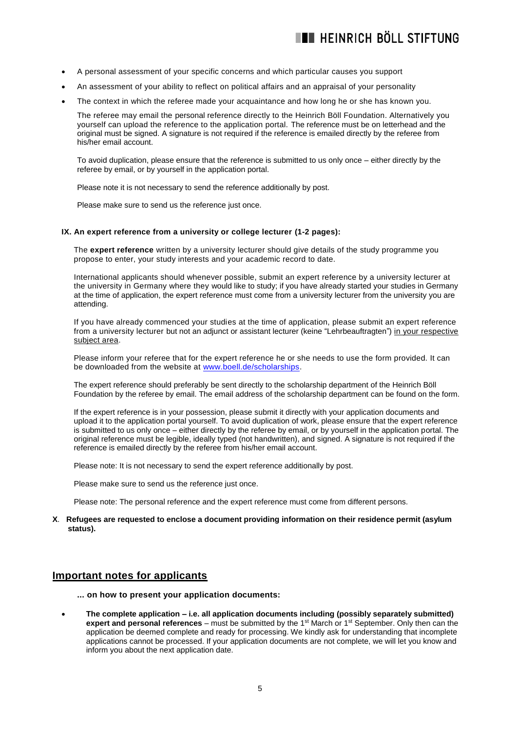- A personal assessment of your specific concerns and which particular causes you support
- An assessment of your ability to reflect on political affairs and an appraisal of your personality
- The context in which the referee made your acquaintance and how long he or she has known you.

The referee may email the personal reference directly to the Heinrich Böll Foundation. Alternatively you yourself can upload the reference to the application portal. The reference must be on letterhead and the original must be signed. A signature is not required if the reference is emailed directly by the referee from his/her email account.

To avoid duplication, please ensure that the reference is submitted to us only once – either directly by the referee by email, or by yourself in the application portal.

Please note it is not necessary to send the reference additionally by post.

Please make sure to send us the reference just once.

#### **IX. An expert reference from a university or college lecturer (1-2 pages):**

The **expert reference** written by a university lecturer should give details of the study programme you propose to enter, your study interests and your academic record to date.

International applicants should whenever possible, submit an expert reference by a university lecturer at the university in Germany where they would like to study; if you have already started your studies in Germany at the time of application, the expert reference must come from a university lecturer from the university you are attending.

If you have already commenced your studies at the time of application, please submit an expert reference from a university lecturer but not an adjunct or assistant lecturer (keine "Lehrbeauftragten") in your respective subject area.

Please inform your referee that for the expert reference he or she needs to use the form provided. It can be downloaded from the website at [www.boell.de/scholarships.](http://www.boell.de/Studienwerk)

The expert reference should preferably be sent directly to the scholarship department of the Heinrich Böll Foundation by the referee by email. The email address of the scholarship department can be found on the form.

If the expert reference is in your possession, please submit it directly with your application documents and upload it to the application portal yourself. To avoid duplication of work, please ensure that the expert reference is submitted to us only once – either directly by the referee by email, or by yourself in the application portal. The original reference must be legible, ideally typed (not handwritten), and signed. A signature is not required if the reference is emailed directly by the referee from his/her email account.

Please note: It is not necessary to send the expert reference additionally by post.

Please make sure to send us the reference just once.

Please note: The personal reference and the expert reference must come from different persons.

#### **X**. **Refugees are requested to enclose a document providing information on their residence permit (asylum status).**

# **Important notes for applicants**

- **... on how to present your application documents:**
- **The complete application – i.e. all application documents including (possibly separately submitted) expert and personal references** – must be submitted by the 1<sup>st</sup> March or 1<sup>st</sup> September. Only then can the application be deemed complete and ready for processing. We kindly ask for understanding that incomplete applications cannot be processed. If your application documents are not complete, we will let you know and inform you about the next application date.